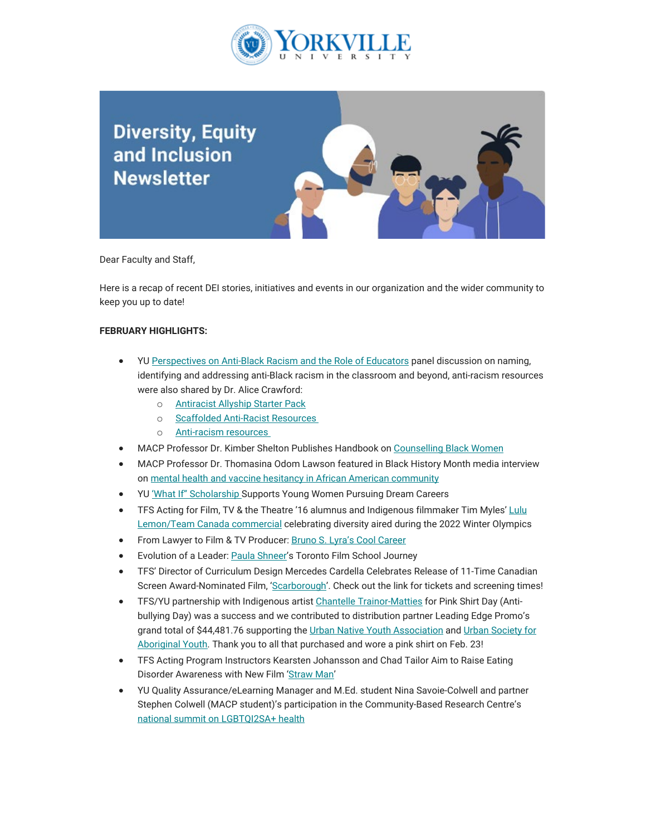

## **Diversity, Equity** and Inclusion **Newsletter**

Dear Faculty and Staff,

Here is a recap of recent DEI stories, initiatives and events in our organization and the wider community to keep you up to date!

## **FEBRUARY HIGHLIGHTS:**

- YU [Perspectives on Anti-Black Racism and the Role of Educators](https://can01.safelinks.protection.outlook.com/?url=https%3A%2F%2Fwww.youtube.com%2Fwatch%3Fv%3DxL2t0YCvI1A&data=05%7C01%7Cmfraser%40yorkvilleu.ca%7C366dfd3c29eb4db6e09608da4d601978%7C8e5c33be6efe45efb1956787de8fd649%7C0%7C0%7C637907372375404510%7CUnknown%7CTWFpbGZsb3d8eyJWIjoiMC4wLjAwMDAiLCJQIjoiV2luMzIiLCJBTiI6Ik1haWwiLCJXVCI6Mn0%3D%7C3000%7C%7C%7C&sdata=JPCgwsbUUJP0ucbt3Bpwfzo22e4xaBgsuh1BUp1AThQ%3D&reserved=0) panel discussion on naming, identifying and addressing anti-Black racism in the classroom and beyond, anti-racism resources were also shared by Dr. Alice Crawford:
	- o [Antiracist Allyship Starter Pack](https://can01.safelinks.protection.outlook.com/?url=https%3A%2F%2Fdocs.google.com%2Fspreadsheets%2Fd%2F1bUJrgX8vspyy7YttiEC2vD0DawrpPYiZs94V0ov7qZQ%2Fedit%3Ffbclid%3DIwAR2Yv7a2FVHhs7dHCoR8XDuVTE8ehHFcO1hU2C0etNjIjMiY-pls1_Oyd98%23gid%3D0&data=05%7C01%7Cmfraser%40yorkvilleu.ca%7C366dfd3c29eb4db6e09608da4d601978%7C8e5c33be6efe45efb1956787de8fd649%7C0%7C0%7C637907372375404510%7CUnknown%7CTWFpbGZsb3d8eyJWIjoiMC4wLjAwMDAiLCJQIjoiV2luMzIiLCJBTiI6Ik1haWwiLCJXVCI6Mn0%3D%7C3000%7C%7C%7C&sdata=qAZrws21IwU4CPXM5pDWVALCLrGSpxQVajDUegq4jL4%3D&reserved=0)
	- o [Scaffolded Anti-Racist Resources](https://can01.safelinks.protection.outlook.com/?url=https%3A%2F%2Fdocs.google.com%2Fdocument%2Fd%2F1PrAq4iBNb4nVIcTsLcNlW8zjaQXBLkWayL8EaPlh0bc%2Fpreview%3Ffbclid%3DIwAR0ZkEZOZnErv8zyqWCzsXzotD5INbQHYmA5K5AlL8JvQ_8y3HScZbk9bsY%26pru%3DAAABcqBYGWQ*IHyHkeMKxUTmQGaZy61bHw&data=05%7C01%7Cmfraser%40yorkvilleu.ca%7C366dfd3c29eb4db6e09608da4d601978%7C8e5c33be6efe45efb1956787de8fd649%7C0%7C0%7C637907372375404510%7CUnknown%7CTWFpbGZsb3d8eyJWIjoiMC4wLjAwMDAiLCJQIjoiV2luMzIiLCJBTiI6Ik1haWwiLCJXVCI6Mn0%3D%7C3000%7C%7C%7C&sdata=HzRGIqg275M4JR2kYCKcXIvcZABOESuFozy6eK6kack%3D&reserved=0)
	- o [Anti-racism resources](https://can01.safelinks.protection.outlook.com/?url=https%3A%2F%2Fdocs.google.com%2Fdocument%2Fd%2F1BRlF2_zhNe86SGgHa6-VlBO-QgirITwCTugSfKie5Fs%2Fedit&data=05%7C01%7Cmfraser%40yorkvilleu.ca%7C366dfd3c29eb4db6e09608da4d601978%7C8e5c33be6efe45efb1956787de8fd649%7C0%7C0%7C637907372375404510%7CUnknown%7CTWFpbGZsb3d8eyJWIjoiMC4wLjAwMDAiLCJQIjoiV2luMzIiLCJBTiI6Ik1haWwiLCJXVCI6Mn0%3D%7C3000%7C%7C%7C&sdata=p5ExxTyrjZBhX2W27qvPv4wGOF1TWQiyUhNLxLWD8fw%3D&reserved=0)
- MACP Professor Dr. Kimber Shelton Publishes Handbook o[n Counselling Black Women](https://can01.safelinks.protection.outlook.com/?url=https%3A%2F%2Fwww.yorkvilleu.ca%2Fmacp-prof-publishes-handbook-on-counselling-black-women%2F%25C2%25A0&data=05%7C01%7Cmfraser%40yorkvilleu.ca%7C366dfd3c29eb4db6e09608da4d601978%7C8e5c33be6efe45efb1956787de8fd649%7C0%7C0%7C637907372375404510%7CUnknown%7CTWFpbGZsb3d8eyJWIjoiMC4wLjAwMDAiLCJQIjoiV2luMzIiLCJBTiI6Ik1haWwiLCJXVCI6Mn0%3D%7C3000%7C%7C%7C&sdata=rvrGN8fmdg9rGTrq4NQv5TzYhzNpqwis68STFkActqQ%3D&reserved=0)
- MACP Professor Dr. Thomasina Odom Lawson featured in Black History Month media interview on [mental health and vaccine hesitancy in African American community](https://can01.safelinks.protection.outlook.com/?url=https%3A%2F%2Fwww.wbtw.com%2Fblack-history-month%2Fhonoring-black-history-a-look-at-mental-health-and-vaccine-hesitancy-in-the-african-american-community%2F&data=05%7C01%7Cmfraser%40yorkvilleu.ca%7C366dfd3c29eb4db6e09608da4d601978%7C8e5c33be6efe45efb1956787de8fd649%7C0%7C0%7C637907372375404510%7CUnknown%7CTWFpbGZsb3d8eyJWIjoiMC4wLjAwMDAiLCJQIjoiV2luMzIiLCJBTiI6Ik1haWwiLCJXVCI6Mn0%3D%7C3000%7C%7C%7C&sdata=3CzIh%2FhJiCXS%2BsKCGeQh6jx%2B3hrXJsxfY%2BvK9dRYqOc%3D&reserved=0)
- YU ['What If" Scholarship S](https://can01.safelinks.protection.outlook.com/?url=https%3A%2F%2Fwww.yorkvilleu.ca%2Fwhat-if-scholarship-supports-young-women-pursuing-dream-careers%2F&data=05%7C01%7Cmfraser%40yorkvilleu.ca%7C366dfd3c29eb4db6e09608da4d601978%7C8e5c33be6efe45efb1956787de8fd649%7C0%7C0%7C637907372375404510%7CUnknown%7CTWFpbGZsb3d8eyJWIjoiMC4wLjAwMDAiLCJQIjoiV2luMzIiLCJBTiI6Ik1haWwiLCJXVCI6Mn0%3D%7C3000%7C%7C%7C&sdata=lwP1ndjLmtKdOxKNstvW7I%2FzpV76UAPOorKhvbYur6M%3D&reserved=0)upports Young Women Pursuing Dream Careers
- TFS Acting for Film, TV & the Theatre '16 alumnus and Indigenous filmmaker Tim Myles[' Lulu](https://can01.safelinks.protection.outlook.com/?url=https%3A%2F%2Fwww.youtube.com%2Fwatch%3Fv%3D63-mthU68eA&data=05%7C01%7Cmfraser%40yorkvilleu.ca%7C366dfd3c29eb4db6e09608da4d601978%7C8e5c33be6efe45efb1956787de8fd649%7C0%7C0%7C637907372375560713%7CUnknown%7CTWFpbGZsb3d8eyJWIjoiMC4wLjAwMDAiLCJQIjoiV2luMzIiLCJBTiI6Ik1haWwiLCJXVCI6Mn0%3D%7C3000%7C%7C%7C&sdata=Tn0Gd5bo%2BSJ%2F9foxLGZBbaSWBEKgkd%2FyESYR50GLGns%3D&reserved=0) [Lemon/Team Canada commercial](https://can01.safelinks.protection.outlook.com/?url=https%3A%2F%2Fwww.youtube.com%2Fwatch%3Fv%3D63-mthU68eA&data=05%7C01%7Cmfraser%40yorkvilleu.ca%7C366dfd3c29eb4db6e09608da4d601978%7C8e5c33be6efe45efb1956787de8fd649%7C0%7C0%7C637907372375560713%7CUnknown%7CTWFpbGZsb3d8eyJWIjoiMC4wLjAwMDAiLCJQIjoiV2luMzIiLCJBTiI6Ik1haWwiLCJXVCI6Mn0%3D%7C3000%7C%7C%7C&sdata=Tn0Gd5bo%2BSJ%2F9foxLGZBbaSWBEKgkd%2FyESYR50GLGns%3D&reserved=0) celebrating diversity aired during the 2022 Winter Olympics
- From Lawyer to Film & TV Producer[: Bruno S. Lyra's Cool Career](https://can01.safelinks.protection.outlook.com/?url=https%3A%2F%2Fwww.torontofilmschool.ca%2Fblog%2Ffrom-lawyer-to-film-tv-producer-bruno-s-lyras-cool-career%2F%25C2%25A0&data=05%7C01%7Cmfraser%40yorkvilleu.ca%7C366dfd3c29eb4db6e09608da4d601978%7C8e5c33be6efe45efb1956787de8fd649%7C0%7C0%7C637907372375560713%7CUnknown%7CTWFpbGZsb3d8eyJWIjoiMC4wLjAwMDAiLCJQIjoiV2luMzIiLCJBTiI6Ik1haWwiLCJXVCI6Mn0%3D%7C3000%7C%7C%7C&sdata=8KLZ12yuI8oIzz8j5lHJLHfJQLd4BIj0Ac2XuExDSMs%3D&reserved=0)
- Evolution of a Leader: [Paula Shneer's](https://can01.safelinks.protection.outlook.com/?url=https%3A%2F%2Fwww.torontofilmschool.ca%2Fblog%2Fevolution-of-a-leader-paula-shneers-toronto-film-school-journey%2F&data=05%7C01%7Cmfraser%40yorkvilleu.ca%7C366dfd3c29eb4db6e09608da4d601978%7C8e5c33be6efe45efb1956787de8fd649%7C0%7C0%7C637907372375560713%7CUnknown%7CTWFpbGZsb3d8eyJWIjoiMC4wLjAwMDAiLCJQIjoiV2luMzIiLCJBTiI6Ik1haWwiLCJXVCI6Mn0%3D%7C3000%7C%7C%7C&sdata=zZqAsmGcoNqSrsVSTdPeUkZUlKhHX6vVc0vS57aKWhQ%3D&reserved=0) Toronto Film School Journey
- TFS' Director of Curriculum Design Mercedes Cardella Celebrates Release of 11-Time Canadian Screen Award-Nominated Film, ['Scarborough'.](https://can01.safelinks.protection.outlook.com/?url=https%3A%2F%2Fwww.torontofilmschool.ca%2Fblog%2Fmercedes-cardella-celebrates-theatrical-release-of-critically-acclaimed-film-scarborough%2F&data=05%7C01%7Cmfraser%40yorkvilleu.ca%7C366dfd3c29eb4db6e09608da4d601978%7C8e5c33be6efe45efb1956787de8fd649%7C0%7C0%7C637907372375560713%7CUnknown%7CTWFpbGZsb3d8eyJWIjoiMC4wLjAwMDAiLCJQIjoiV2luMzIiLCJBTiI6Ik1haWwiLCJXVCI6Mn0%3D%7C3000%7C%7C%7C&sdata=ZsOggbJkV8nfjYJFYGVGRN789xqvCfcusbN5QXK8jmg%3D&reserved=0) Check out the link for tickets and screening times!
- TFS/YU partnership with Indigenous artis[t Chantelle Trainor-Matties](https://can01.safelinks.protection.outlook.com/?url=https%3A%2F%2Ffrettchanstudios.ca%2F&data=05%7C01%7Cmfraser%40yorkvilleu.ca%7C366dfd3c29eb4db6e09608da4d601978%7C8e5c33be6efe45efb1956787de8fd649%7C0%7C0%7C637907372375560713%7CUnknown%7CTWFpbGZsb3d8eyJWIjoiMC4wLjAwMDAiLCJQIjoiV2luMzIiLCJBTiI6Ik1haWwiLCJXVCI6Mn0%3D%7C3000%7C%7C%7C&sdata=DT3bGTZ0JJ053JS2spMygDsPEOzxbCiCmREyowPzJSE%3D&reserved=0) for Pink Shirt Day (Antibullying Day) was a success and we contributed to distribution partner Leading Edge Promo's grand total of \$44,481.76 supporting th[e Urban Native Youth Association](https://can01.safelinks.protection.outlook.com/?url=https%3A%2F%2Funya.bc.ca%2F&data=05%7C01%7Cmfraser%40yorkvilleu.ca%7C366dfd3c29eb4db6e09608da4d601978%7C8e5c33be6efe45efb1956787de8fd649%7C0%7C0%7C637907372375560713%7CUnknown%7CTWFpbGZsb3d8eyJWIjoiMC4wLjAwMDAiLCJQIjoiV2luMzIiLCJBTiI6Ik1haWwiLCJXVCI6Mn0%3D%7C3000%7C%7C%7C&sdata=qUHhKBFr8JNEw4ggghpQakx%2BjvI2jRO93YMG8y3Jr6s%3D&reserved=0) an[d Urban Society for](https://can01.safelinks.protection.outlook.com/?url=https%3A%2F%2Fusay.ca%2F&data=05%7C01%7Cmfraser%40yorkvilleu.ca%7C366dfd3c29eb4db6e09608da4d601978%7C8e5c33be6efe45efb1956787de8fd649%7C0%7C0%7C637907372375560713%7CUnknown%7CTWFpbGZsb3d8eyJWIjoiMC4wLjAwMDAiLCJQIjoiV2luMzIiLCJBTiI6Ik1haWwiLCJXVCI6Mn0%3D%7C3000%7C%7C%7C&sdata=ue4A2F%2BwE1Pu0U%2FUWNmmYgmbtmP4mrjNzf7lcAFuG9g%3D&reserved=0) [Aboriginal Youth.](https://can01.safelinks.protection.outlook.com/?url=https%3A%2F%2Fusay.ca%2F&data=05%7C01%7Cmfraser%40yorkvilleu.ca%7C366dfd3c29eb4db6e09608da4d601978%7C8e5c33be6efe45efb1956787de8fd649%7C0%7C0%7C637907372375560713%7CUnknown%7CTWFpbGZsb3d8eyJWIjoiMC4wLjAwMDAiLCJQIjoiV2luMzIiLCJBTiI6Ik1haWwiLCJXVCI6Mn0%3D%7C3000%7C%7C%7C&sdata=ue4A2F%2BwE1Pu0U%2FUWNmmYgmbtmP4mrjNzf7lcAFuG9g%3D&reserved=0) Thank you to all that purchased and wore a pink shirt on Feb. 23!
- TFS Acting Program Instructors Kearsten Johansson and Chad Tailor Aim to Raise Eating Disorder Awareness with New Film ['Straw Man'](https://can01.safelinks.protection.outlook.com/?url=https%3A%2F%2Fwww.torontofilmschool.ca%2Fblog%2Ftfs-instructors-aim-to-raise-eating-disorder-awareness-with-new-film-straw-man%2F&data=05%7C01%7Cmfraser%40yorkvilleu.ca%7C366dfd3c29eb4db6e09608da4d601978%7C8e5c33be6efe45efb1956787de8fd649%7C0%7C0%7C637907372375560713%7CUnknown%7CTWFpbGZsb3d8eyJWIjoiMC4wLjAwMDAiLCJQIjoiV2luMzIiLCJBTiI6Ik1haWwiLCJXVCI6Mn0%3D%7C3000%7C%7C%7C&sdata=rBql%2BEnQmg1wEwcjtDgt3o1ZoMWDJ1tjTDPFtQh8jTw%3D&reserved=0)
- YU Quality Assurance/eLearning Manager and M.Ed. student Nina Savoie-Colwell and partner Stephen Colwell (MACP student)'s participation in the Community-Based Research Centre's [national summit on LGBTQI2SA+ health](https://can01.safelinks.protection.outlook.com/?url=https%3A%2F%2Fwww.cbrc.net%2Fcreators_project_summit_2021&data=05%7C01%7Cmfraser%40yorkvilleu.ca%7C366dfd3c29eb4db6e09608da4d601978%7C8e5c33be6efe45efb1956787de8fd649%7C0%7C0%7C637907372375560713%7CUnknown%7CTWFpbGZsb3d8eyJWIjoiMC4wLjAwMDAiLCJQIjoiV2luMzIiLCJBTiI6Ik1haWwiLCJXVCI6Mn0%3D%7C3000%7C%7C%7C&sdata=qYegayfIiWT76juwxK6Zdh0nkcRC1Z1KBnKYOYt45o8%3D&reserved=0)